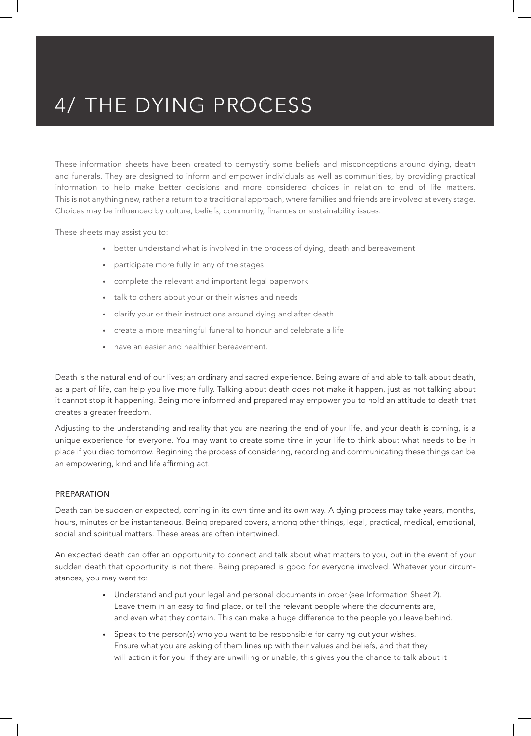### 4/ THE DYING PROCESS

These information sheets have been created to demystify some beliefs and misconceptions around dying, death and funerals. They are designed to inform and empower individuals as well as communities, by providing practical information to help make better decisions and more considered choices in relation to end of life matters. This is not anything new, rather a return to a traditional approach, where families and friends are involved at every stage. Choices may be influenced by culture, beliefs, community, finances or sustainability issues.

These sheets may assist you to:

- better understand what is involved in the process of dying, death and bereavement
- participate more fully in any of the stages
- complete the relevant and important legal paperwork
- talk to others about your or their wishes and needs
- clarify your or their instructions around dying and after death
- create a more meaningful funeral to honour and celebrate a life
- have an easier and healthier bereavement.

Death is the natural end of our lives; an ordinary and sacred experience. Being aware of and able to talk about death, as a part of life, can help you live more fully. Talking about death does not make it happen, just as not talking about it cannot stop it happening. Being more informed and prepared may empower you to hold an attitude to death that creates a greater freedom.

Adjusting to the understanding and reality that you are nearing the end of your life, and your death is coming, is a unique experience for everyone. You may want to create some time in your life to think about what needs to be in place if you died tomorrow. Beginning the process of considering, recording and communicating these things can be an empowering, kind and life affirming act.

#### PREPARATION

Death can be sudden or expected, coming in its own time and its own way. A dying process may take years, months, hours, minutes or be instantaneous. Being prepared covers, among other things, legal, practical, medical, emotional, social and spiritual matters. These areas are often intertwined.

An expected death can offer an opportunity to connect and talk about what matters to you, but in the event of your sudden death that opportunity is not there. Being prepared is good for everyone involved. Whatever your circumstances, you may want to:

- Understand and put your legal and personal documents in order (see Information Sheet 2). Leave them in an easy to find place, or tell the relevant people where the documents are, and even what they contain. This can make a huge difference to the people you leave behind.
- Speak to the person(s) who you want to be responsible for carrying out your wishes. Ensure what you are asking of them lines up with their values and beliefs, and that they will action it for you. If they are unwilling or unable, this gives you the chance to talk about it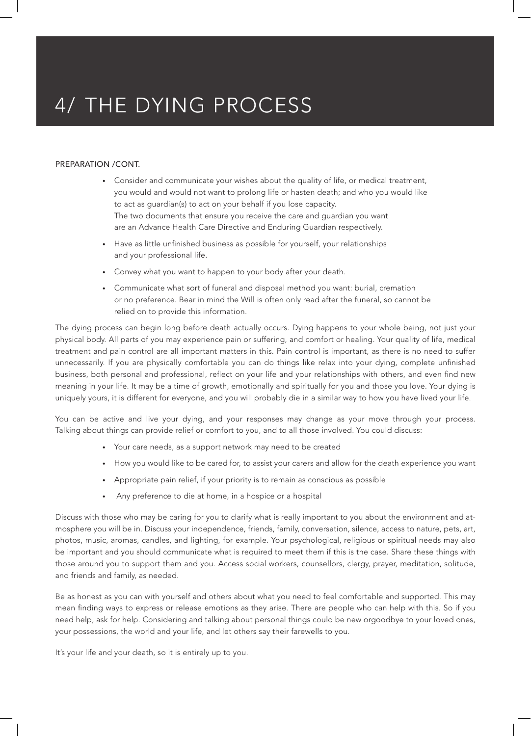## 4/ THE DYING PROCESS

#### PREPARATION /CONT.

- Consider and communicate your wishes about the quality of life, or medical treatment, you would and would not want to prolong life or hasten death; and who you would like to act as guardian(s) to act on your behalf if you lose capacity. The two documents that ensure you receive the care and guardian you want are an Advance Health Care Directive and Enduring Guardian respectively.
- Have as little unfinished business as possible for yourself, your relationships and your professional life.
- Convey what you want to happen to your body after your death.
- Communicate what sort of funeral and disposal method you want: burial, cremation or no preference. Bear in mind the Will is often only read after the funeral, so cannot be relied on to provide this information.

The dying process can begin long before death actually occurs. Dying happens to your whole being, not just your physical body. All parts of you may experience pain or suffering, and comfort or healing. Your quality of life, medical treatment and pain control are all important matters in this. Pain control is important, as there is no need to suffer unnecessarily. If you are physically comfortable you can do things like relax into your dying, complete unfinished business, both personal and professional, reflect on your life and your relationships with others, and even find new meaning in your life. It may be a time of growth, emotionally and spiritually for you and those you love. Your dying is uniquely yours, it is different for everyone, and you will probably die in a similar way to how you have lived your life.

You can be active and live your dying, and your responses may change as your move through your process. Talking about things can provide relief or comfort to you, and to all those involved. You could discuss:

- Your care needs, as a support network may need to be created
- How you would like to be cared for, to assist your carers and allow for the death experience you want
- Appropriate pain relief, if your priority is to remain as conscious as possible
- Any preference to die at home, in a hospice or a hospital

Discuss with those who may be caring for you to clarify what is really important to you about the environment and atmosphere you will be in. Discuss your independence, friends, family, conversation, silence, access to nature, pets, art, photos, music, aromas, candles, and lighting, for example. Your psychological, religious or spiritual needs may also be important and you should communicate what is required to meet them if this is the case. Share these things with those around you to support them and you. Access social workers, counsellors, clergy, prayer, meditation, solitude, and friends and family, as needed.

Be as honest as you can with yourself and others about what you need to feel comfortable and supported. This may mean finding ways to express or release emotions as they arise. There are people who can help with this. So if you need help, ask for help. Considering and talking about personal things could be new orgoodbye to your loved ones, your possessions, the world and your life, and let others say their farewells to you.

It's your life and your death, so it is entirely up to you.